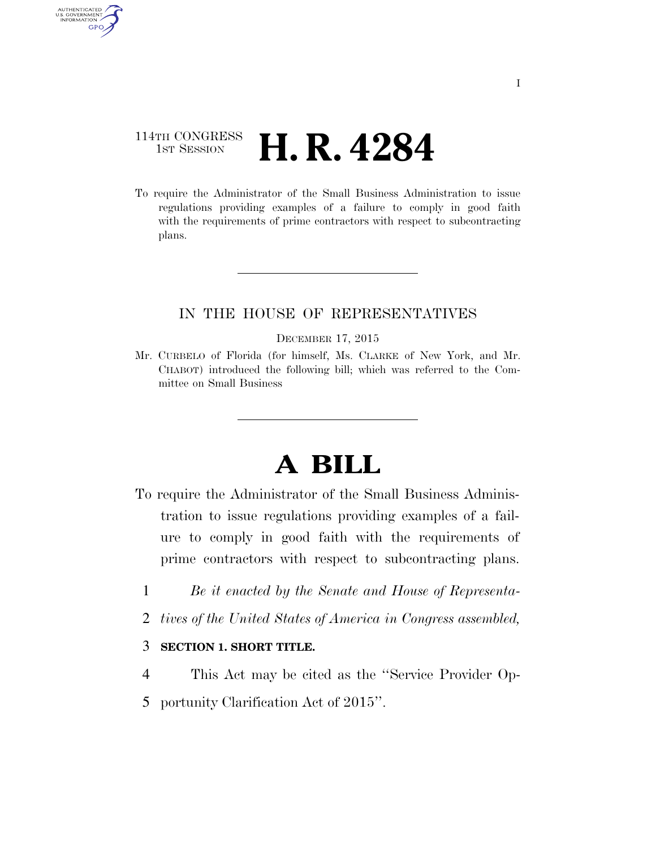## 114TH CONGRESS 1st Session **H. R. 4284**

AUTHENTICATED<br>U.S. GOVERNMENT<br>INFORMATION

**GPO** 

To require the Administrator of the Small Business Administration to issue regulations providing examples of a failure to comply in good faith with the requirements of prime contractors with respect to subcontracting plans.

## IN THE HOUSE OF REPRESENTATIVES

#### DECEMBER 17, 2015

Mr. CURBELO of Florida (for himself, Ms. CLARKE of New York, and Mr. CHABOT) introduced the following bill; which was referred to the Committee on Small Business

# **A BILL**

- To require the Administrator of the Small Business Administration to issue regulations providing examples of a failure to comply in good faith with the requirements of prime contractors with respect to subcontracting plans.
	- 1 *Be it enacted by the Senate and House of Representa-*
	- 2 *tives of the United States of America in Congress assembled,*

### 3 **SECTION 1. SHORT TITLE.**

- 4 This Act may be cited as the ''Service Provider Op-
- 5 portunity Clarification Act of 2015''.